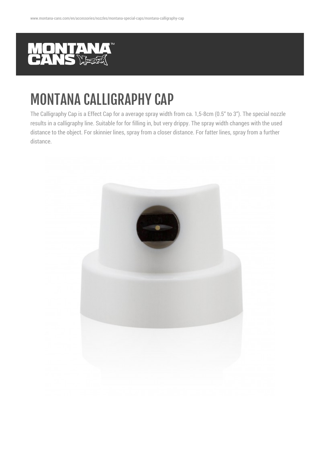

## MONTANA CALLIGRAPHY CAP

The Calligraphy Cap is a Effect Cap for a average spray width from ca. 1,5-8cm (0.5" to 3"). The special nozzle results in a calligraphy line. Suitable for for filling in, but very drippy. The spray width changes with the used distance to the object. For skinnier lines, spray from a closer distance. For fatter lines, spray from a further distance.